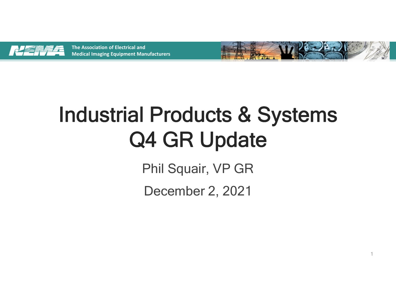

**The Association of Electrical and Medical Imaging Equipment Manufacturers**



1

# Industrial Products & Systems Q4 GR Update

Phil Squair, VP GR

December 2, 2021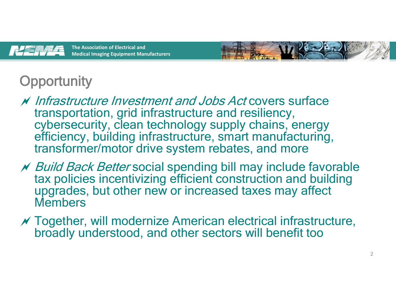

**The Association of Electrical and Medical Imaging Equipment Manufacturers**



## **Opportunity**

- Infrastructure Investment and Jobs Act covers surface transportation, grid infrastructure and resiliency, cybersecurity, clean technology supply chains, energy efficiency, building infrastructure, smart manufacturing, transformer/motor drive system rebates, and more
- **N** Build Back Better social spending bill may include favorable tax policies incentivizing efficient construction and building upgrades, but other new or increased taxes may affect Members
- $\mathcal N$  Together, will modernize American electrical infrastructure, broadly understood, and other sectors will benefit too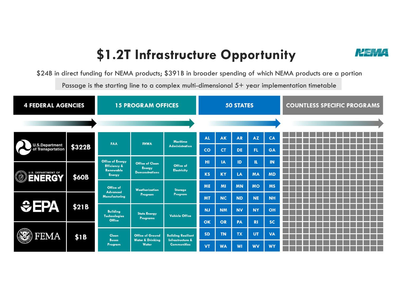### **\$1.2T Infrastructure Opportunity**



\$24B in direct funding for NEMA products; \$391B in broader spending of which NEMA products are a portion

Passage is the starting line to a complex multi-dimensional  $5+$  year implementation timetable

| <b>4 FEDERAL AGENCIES</b>                                  | <b>15 PROGRAM OFFICES</b> |                                                                                  |                                                                        | <b>50 STATES</b>                                                               |           |           |           | <b>COUNTLESS SPECIFIC PROGRAMS</b> |           |  |  |  |  |  |  |  |
|------------------------------------------------------------|---------------------------|----------------------------------------------------------------------------------|------------------------------------------------------------------------|--------------------------------------------------------------------------------|-----------|-----------|-----------|------------------------------------|-----------|--|--|--|--|--|--|--|
|                                                            |                           |                                                                                  |                                                                        |                                                                                |           |           |           |                                    |           |  |  |  |  |  |  |  |
| <b>U.S.Department</b><br>of Transportation                 | \$322B                    | FAA                                                                              | <b>FHWA</b>                                                            | <b>Maritime</b><br><b>Administration</b>                                       | <b>AL</b> | <b>AK</b> | <b>AR</b> | <b>AZ</b>                          | CA        |  |  |  |  |  |  |  |
|                                                            |                           |                                                                                  |                                                                        |                                                                                | co        | <b>CT</b> | <b>DE</b> | FL.                                | GA        |  |  |  |  |  |  |  |
| <b>U.S. DEPARTMENT OF</b><br>$\mathbb{C}$<br><b>ENERGY</b> | <b>\$60B</b>              | <b>Office of Energy</b><br><b>Efficiency &amp;</b><br>Renewable<br><b>Energy</b> | <b>Office of Clean</b><br><b>Energy</b><br><b>Demonstrations</b>       | Office of<br><b>Electricity</b>                                                | HI        | IA        | ID        | IL.                                | IN        |  |  |  |  |  |  |  |
|                                                            |                           |                                                                                  |                                                                        |                                                                                | <b>KS</b> | <b>KY</b> | LA        | <b>MA</b>                          | <b>MD</b> |  |  |  |  |  |  |  |
|                                                            |                           | Office of<br><b>Advanced</b><br><b>Manufacturina</b>                             | Weatherization<br>Program                                              | Storage<br>Program                                                             | <b>ME</b> | MI        | <b>MN</b> | <b>MO</b>                          | <b>MS</b> |  |  |  |  |  |  |  |
| EFA                                                        | \$21B                     |                                                                                  |                                                                        |                                                                                | <b>MT</b> | <b>NC</b> | <b>ND</b> | <b>NE</b>                          | <b>NH</b> |  |  |  |  |  |  |  |
|                                                            |                           | <b>Building</b>                                                                  | <b>State Energy</b><br>Programs                                        | <b>Vehicle Office</b>                                                          | <b>NJ</b> | <b>NM</b> | <b>NV</b> | <b>NY</b>                          | OH        |  |  |  |  |  |  |  |
| FEMA                                                       |                           | <b>Technologies</b><br>Office                                                    |                                                                        |                                                                                | OK        | OR        | PA        | <b>RI</b>                          | <b>SC</b> |  |  |  |  |  |  |  |
|                                                            | \$1B                      | <b>Clean</b><br><b>Buses</b><br>Program                                          | <b>Office of Ground</b><br><b>Water &amp; Drinking</b><br><b>Water</b> | <b>Building Resilient</b><br><b>Infrastructure &amp;</b><br><b>Communities</b> | <b>SD</b> | <b>TN</b> | <b>TX</b> | <b>UT</b>                          | <b>VA</b> |  |  |  |  |  |  |  |
|                                                            |                           |                                                                                  |                                                                        |                                                                                | <b>VT</b> | <b>WA</b> | WI        | <b>WV</b>                          | <b>WY</b> |  |  |  |  |  |  |  |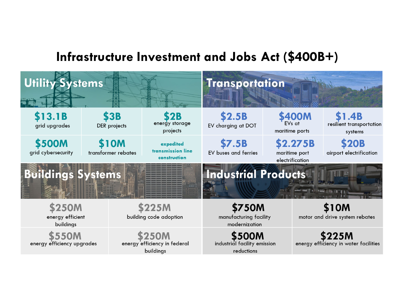#### **Infrastructure Investment and Jobs Act (\$400B+)**

| <b>Utility Systems</b>                  |                                    |                                                          | <b>Transportation</b>                                       |                                                       |                                                 |  |  |  |  |
|-----------------------------------------|------------------------------------|----------------------------------------------------------|-------------------------------------------------------------|-------------------------------------------------------|-------------------------------------------------|--|--|--|--|
| \$13.1B<br>grid upgrades                | <b>\$3B</b><br>DER projects        | <b>2B</b><br>energy storage<br>projects                  | \$2.5B<br>EV charging at DOT                                | <b>\$400M</b><br>EV <sub>s</sub> at<br>maritime ports | .4B<br>resilient transportation<br>systems      |  |  |  |  |
| \$500M<br>grid cybersecurity            | <b>S10M</b><br>transformer rebates | expedited<br>transmission line<br>construction           | <b>\$7.5B</b><br>EV buses and ferries                       | \$2.275B<br>maritime port<br>electrification          | <b>\$20B</b><br>airport electrification         |  |  |  |  |
| <b>Buildings Systems</b>                |                                    |                                                          | <b>Industrial Products</b>                                  |                                                       | <b>Section 1</b> of 1980 and 1970 and 1970 and  |  |  |  |  |
| \$250M<br>energy efficient<br>buildings |                                    | \$225M<br>building code adoption                         | \$750M<br>manufacturing facility<br>modernization           |                                                       | <b>S10M</b><br>motor and drive system rebates   |  |  |  |  |
| \$550M<br>energy efficiency upgrades    |                                    | <b>250M</b><br>energy efficiency in federal<br>buildings | <b>\$500M</b><br>industrial facility emission<br>reductions |                                                       | \$225M<br>energy efficiency in water facilities |  |  |  |  |